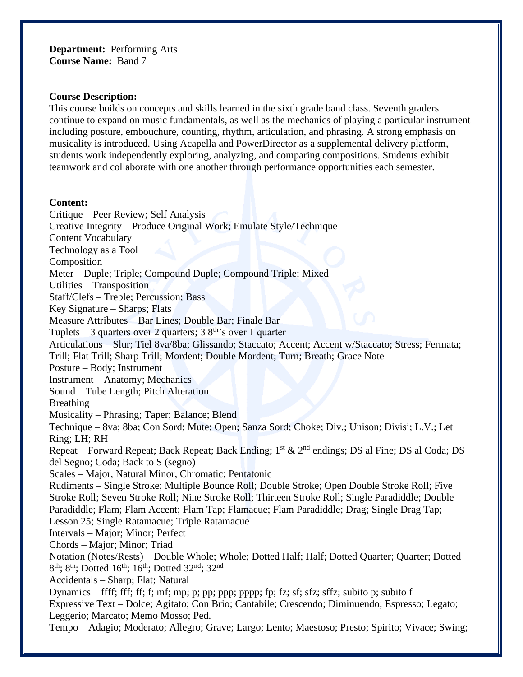**Department:** Performing Arts **Course Name:** Band 7

#### **Course Description:**

This course builds on concepts and skills learned in the sixth grade band class. Seventh graders continue to expand on music fundamentals, as well as the mechanics of playing a particular instrument including posture, embouchure, counting, rhythm, articulation, and phrasing. A strong emphasis on musicality is introduced. Using Acapella and PowerDirector as a supplemental delivery platform, students work independently exploring, analyzing, and comparing compositions. Students exhibit teamwork and collaborate with one another through performance opportunities each semester.

#### **Content:**

Critique – Peer Review; Self Analysis Creative Integrity – Produce Original Work; Emulate Style/Technique Content Vocabulary Technology as a Tool Composition Meter – Duple; Triple; Compound Duple; Compound Triple; Mixed Utilities – Transposition Staff/Clefs – Treble; Percussion; Bass Key Signature – Sharps; Flats Measure Attributes – Bar Lines; Double Bar; Finale Bar Tuplets – 3 quarters over 2 quarters;  $38<sup>th</sup>$ 's over 1 quarter Articulations – Slur; Tiel 8va/8ba; Glissando; Staccato; Accent; Accent w/Staccato; Stress; Fermata; Trill; Flat Trill; Sharp Trill; Mordent; Double Mordent; Turn; Breath; Grace Note Posture – Body; Instrument Instrument – Anatomy; Mechanics Sound – Tube Length; Pitch Alteration Breathing Musicality – Phrasing; Taper; Balance; Blend Technique – 8va; 8ba; Con Sord; Mute; Open; Sanza Sord; Choke; Div.; Unison; Divisi; L.V.; Let Ring; LH; RH Repeat – Forward Repeat; Back Repeat; Back Ending;  $1^{st}$  &  $2^{nd}$  endings; DS al Fine; DS al Coda; DS del Segno; Coda; Back to S (segno) Scales – Major, Natural Minor, Chromatic; Pentatonic Rudiments – Single Stroke; Multiple Bounce Roll; Double Stroke; Open Double Stroke Roll; Five Stroke Roll; Seven Stroke Roll; Nine Stroke Roll; Thirteen Stroke Roll; Single Paradiddle; Double Paradiddle; Flam; Flam Accent; Flam Tap; Flamacue; Flam Paradiddle; Drag; Single Drag Tap; Lesson 25; Single Ratamacue; Triple Ratamacue Intervals – Major; Minor; Perfect Chords – Major; Minor; Triad Notation (Notes/Rests) – Double Whole; Whole; Dotted Half; Half; Dotted Quarter; Quarter; Dotted  $8<sup>th</sup>$ ;  $8<sup>th</sup>$ ; Dotted 16<sup>th</sup>; 16<sup>th</sup>; Dotted 32<sup>nd</sup>; 32<sup>nd</sup> Accidentals – Sharp; Flat; Natural Dynamics – ffff; fff; ff; f; mf; mp; p; pp; ppp; pppp; fp; fz; sf; sfz; sffz; subito p; subito f Expressive Text – Dolce; Agitato; Con Brio; Cantabile; Crescendo; Diminuendo; Espresso; Legato; Leggerio; Marcato; Memo Mosso; Ped. Tempo – Adagio; Moderato; Allegro; Grave; Largo; Lento; Maestoso; Presto; Spirito; Vivace; Swing;